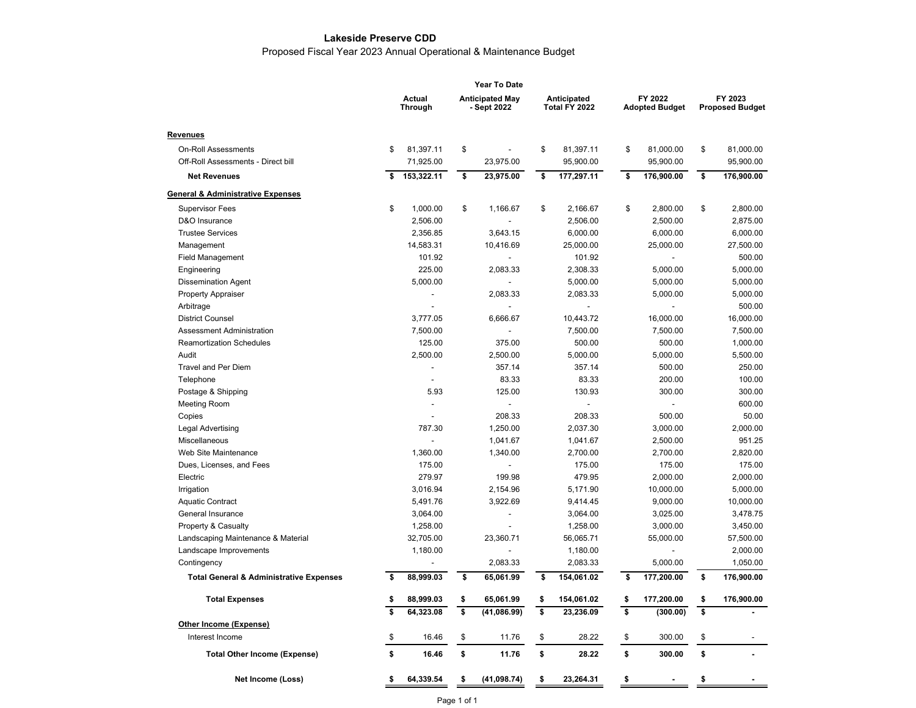## **Lakeside Preserve CDD**

## Proposed Fiscal Year 2023 Annual Operational & Maintenance Budget

|                                                    | Year To Date             |                          |                                       |                |                              |            |                                  |                |                                   |            |
|----------------------------------------------------|--------------------------|--------------------------|---------------------------------------|----------------|------------------------------|------------|----------------------------------|----------------|-----------------------------------|------------|
|                                                    | <b>Actual</b><br>Through |                          | <b>Anticipated May</b><br>- Sept 2022 |                | Anticipated<br>Total FY 2022 |            | FY 2022<br><b>Adopted Budget</b> |                | FY 2023<br><b>Proposed Budget</b> |            |
| <b>Revenues</b>                                    |                          |                          |                                       |                |                              |            |                                  |                |                                   |            |
| <b>On-Roll Assessments</b>                         | \$                       | 81,397.11                | \$                                    |                | \$                           | 81,397.11  | \$                               | 81,000.00      | \$                                | 81,000.00  |
| Off-Roll Assessments - Direct bill                 |                          | 71,925.00                |                                       | 23,975.00      |                              | 95,900.00  |                                  | 95,900.00      |                                   | 95,900.00  |
| <b>Net Revenues</b>                                | \$                       | 153,322.11               | \$                                    | 23,975.00      | \$                           | 177,297.11 | \$                               | 176,900.00     | \$                                | 176,900.00 |
| <b>General &amp; Administrative Expenses</b>       |                          |                          |                                       |                |                              |            |                                  |                |                                   |            |
| <b>Supervisor Fees</b>                             | \$                       | 1,000.00                 | \$                                    | 1,166.67       | \$                           | 2,166.67   | \$                               | 2,800.00       | \$                                | 2,800.00   |
| D&O Insurance                                      |                          | 2,506.00                 |                                       | $\overline{a}$ |                              | 2,506.00   |                                  | 2,500.00       |                                   | 2,875.00   |
| <b>Trustee Services</b>                            |                          | 2,356.85                 |                                       | 3,643.15       |                              | 6,000.00   |                                  | 6,000.00       |                                   | 6,000.00   |
| Management                                         |                          | 14,583.31                |                                       | 10,416.69      |                              | 25,000.00  |                                  | 25,000.00      |                                   | 27,500.00  |
| <b>Field Management</b>                            |                          | 101.92                   |                                       |                |                              | 101.92     |                                  |                |                                   | 500.00     |
| Engineering                                        |                          | 225.00                   |                                       | 2,083.33       |                              | 2,308.33   |                                  | 5,000.00       |                                   | 5,000.00   |
| <b>Dissemination Agent</b>                         |                          | 5,000.00                 |                                       |                |                              | 5,000.00   |                                  | 5,000.00       |                                   | 5,000.00   |
| <b>Property Appraiser</b>                          |                          | ÷,                       |                                       | 2,083.33       |                              | 2,083.33   |                                  | 5,000.00       |                                   | 5,000.00   |
| Arbitrage                                          |                          |                          |                                       |                |                              |            |                                  |                |                                   | 500.00     |
| <b>District Counsel</b>                            |                          | 3,777.05                 |                                       | 6.666.67       |                              | 10,443.72  |                                  | 16,000.00      |                                   | 16,000.00  |
| Assessment Administration                          |                          | 7,500.00                 |                                       |                |                              | 7,500.00   |                                  | 7,500.00       |                                   | 7,500.00   |
| <b>Reamortization Schedules</b>                    |                          | 125.00                   |                                       | 375.00         |                              | 500.00     |                                  | 500.00         |                                   | 1,000.00   |
| Audit                                              |                          | 2,500.00                 |                                       | 2,500.00       |                              | 5,000.00   |                                  | 5,000.00       |                                   | 5,500.00   |
| <b>Travel and Per Diem</b>                         |                          | $\overline{\phantom{a}}$ |                                       | 357.14         |                              | 357.14     |                                  | 500.00         |                                   | 250.00     |
| Telephone                                          |                          | $\overline{\phantom{a}}$ |                                       | 83.33          |                              | 83.33      |                                  | 200.00         |                                   | 100.00     |
| Postage & Shipping                                 |                          | 5.93                     |                                       | 125.00         |                              | 130.93     |                                  | 300.00         |                                   | 300.00     |
| Meeting Room                                       |                          |                          |                                       |                |                              |            |                                  |                |                                   | 600.00     |
| Copies                                             |                          |                          |                                       | 208.33         |                              | 208.33     |                                  | 500.00         |                                   | 50.00      |
| <b>Legal Advertising</b>                           |                          | 787.30                   |                                       | 1,250.00       |                              | 2,037.30   |                                  | 3,000.00       |                                   | 2,000.00   |
| Miscellaneous                                      |                          | $\overline{\phantom{a}}$ |                                       | 1,041.67       |                              | 1,041.67   |                                  | 2,500.00       |                                   | 951.25     |
| Web Site Maintenance                               |                          | 1,360.00                 |                                       | 1,340.00       |                              | 2,700.00   |                                  | 2,700.00       |                                   | 2,820.00   |
| Dues, Licenses, and Fees                           |                          | 175.00                   |                                       |                |                              | 175.00     |                                  | 175.00         |                                   | 175.00     |
| Electric                                           |                          | 279.97                   |                                       | 199.98         |                              | 479.95     |                                  | 2,000.00       |                                   | 2,000.00   |
| Irrigation                                         |                          | 3,016.94                 |                                       | 2,154.96       |                              | 5,171.90   |                                  | 10,000.00      |                                   | 5,000.00   |
| <b>Aquatic Contract</b>                            |                          | 5,491.76                 |                                       | 3,922.69       |                              | 9,414.45   |                                  | 9,000.00       |                                   | 10,000.00  |
| General Insurance                                  |                          | 3,064.00                 |                                       | $\overline{a}$ |                              | 3,064.00   |                                  | 3,025.00       |                                   | 3,478.75   |
| Property & Casualty                                |                          | 1,258.00                 |                                       |                |                              | 1,258.00   |                                  | 3,000.00       |                                   | 3,450.00   |
| Landscaping Maintenance & Material                 |                          | 32,705.00                |                                       | 23,360.71      |                              | 56,065.71  |                                  | 55,000.00      |                                   | 57,500.00  |
| Landscape Improvements                             |                          | 1,180.00                 |                                       | Ĭ.             |                              | 1,180.00   |                                  | $\blacksquare$ |                                   | 2,000.00   |
| Contingency                                        |                          |                          |                                       | 2,083.33       |                              | 2,083.33   |                                  | 5,000.00       |                                   | 1,050.00   |
| <b>Total General &amp; Administrative Expenses</b> | \$                       | 88,999.03                | \$                                    | 65,061.99      | \$                           | 154,061.02 | \$                               | 177,200.00     | \$                                | 176,900.00 |
| <b>Total Expenses</b>                              | \$                       | 88,999.03                | \$                                    | 65,061.99      | \$                           | 154,061.02 | \$                               | 177,200.00     | \$                                | 176,900.00 |
|                                                    | \$                       | 64,323.08                | \$                                    | (41, 086.99)   | \$                           | 23,236.09  | \$                               | (300.00)       | \$                                |            |
| Other Income (Expense)                             |                          |                          |                                       |                |                              |            |                                  |                |                                   |            |
| Interest Income                                    | \$                       | 16.46                    | \$                                    | 11.76          | \$                           | 28.22      | \$                               | 300.00         | \$                                |            |
| <b>Total Other Income (Expense)</b>                | \$                       | 16.46                    | \$                                    | 11.76          | \$                           | 28.22      | \$                               | 300.00         | \$                                |            |
| Net Income (Loss)                                  | \$                       | 64,339.54                | \$                                    | (41, 098.74)   | \$                           | 23,264.31  | \$                               |                | \$                                |            |